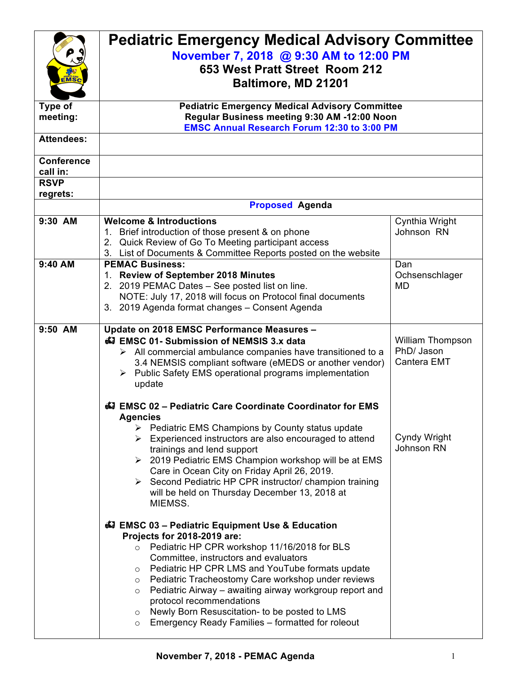| <b>MS</b>                     | <b>Pediatric Emergency Medical Advisory Committee</b><br>November 7, 2018 @ 9:30 AM to 12:00 PM<br>653 West Pratt Street Room 212<br>Baltimore, MD 21201                                                                                                                                                                                                                                                                                                                                                                                        |                                               |  |
|-------------------------------|-------------------------------------------------------------------------------------------------------------------------------------------------------------------------------------------------------------------------------------------------------------------------------------------------------------------------------------------------------------------------------------------------------------------------------------------------------------------------------------------------------------------------------------------------|-----------------------------------------------|--|
| Type of<br>meeting:           | <b>Pediatric Emergency Medical Advisory Committee</b><br>Regular Business meeting 9:30 AM -12:00 Noon                                                                                                                                                                                                                                                                                                                                                                                                                                           |                                               |  |
| <b>Attendees:</b>             | <b>EMSC Annual Research Forum 12:30 to 3:00 PM</b>                                                                                                                                                                                                                                                                                                                                                                                                                                                                                              |                                               |  |
|                               |                                                                                                                                                                                                                                                                                                                                                                                                                                                                                                                                                 |                                               |  |
| <b>Conference</b><br>call in: |                                                                                                                                                                                                                                                                                                                                                                                                                                                                                                                                                 |                                               |  |
| <b>RSVP</b>                   |                                                                                                                                                                                                                                                                                                                                                                                                                                                                                                                                                 |                                               |  |
| regrets:                      |                                                                                                                                                                                                                                                                                                                                                                                                                                                                                                                                                 |                                               |  |
|                               | <b>Proposed Agenda</b>                                                                                                                                                                                                                                                                                                                                                                                                                                                                                                                          |                                               |  |
| 9:30 AM                       | <b>Welcome &amp; Introductions</b><br>1. Brief introduction of those present & on phone<br>2. Quick Review of Go To Meeting participant access<br>3. List of Documents & Committee Reports posted on the website                                                                                                                                                                                                                                                                                                                                | Cynthia Wright<br>Johnson RN                  |  |
| $9:40$ AM                     | <b>PEMAC Business:</b><br>1. Review of September 2018 Minutes<br>2. 2019 PEMAC Dates - See posted list on line.<br>NOTE: July 17, 2018 will focus on Protocol final documents<br>3. 2019 Agenda format changes - Consent Agenda                                                                                                                                                                                                                                                                                                                 | Dan<br>Ochsenschlager<br><b>MD</b>            |  |
| 9:50 AM                       | Update on 2018 EMSC Performance Measures -<br>47 EMSC 01- Submission of NEMSIS 3.x data<br>$\triangleright$ All commercial ambulance companies have transitioned to a<br>3.4 NEMSIS compliant software (eMEDS or another vendor)<br>$\triangleright$ Public Safety EMS operational programs implementation<br>update                                                                                                                                                                                                                            | William Thompson<br>PhD/ Jason<br>Cantera EMT |  |
|                               | EMSC 02 - Pediatric Care Coordinate Coordinator for EMS<br><b>Agencies</b><br>$\triangleright$ Pediatric EMS Champions by County status update<br>$\triangleright$ Experienced instructors are also encouraged to attend<br>trainings and lend support<br>$\geq$ 2019 Pediatric EMS Champion workshop will be at EMS<br>Care in Ocean City on Friday April 26, 2019.<br>$\triangleright$ Second Pediatric HP CPR instructor/ champion training<br>will be held on Thursday December 13, 2018 at<br>MIEMSS.                                      | Cyndy Wright<br>Johnson RN                    |  |
|                               | 47 EMSC 03 - Pediatric Equipment Use & Education<br>Projects for 2018-2019 are:<br>Pediatric HP CPR workshop 11/16/2018 for BLS<br>$\circ$<br>Committee, instructors and evaluators<br>Pediatric HP CPR LMS and YouTube formats update<br>$\circ$<br>Pediatric Tracheostomy Care workshop under reviews<br>$\circ$<br>Pediatric Airway - awaiting airway workgroup report and<br>$\circ$<br>protocol recommendations<br>Newly Born Resuscitation- to be posted to LMS<br>$\circ$<br>Emergency Ready Families - formatted for roleout<br>$\circ$ |                                               |  |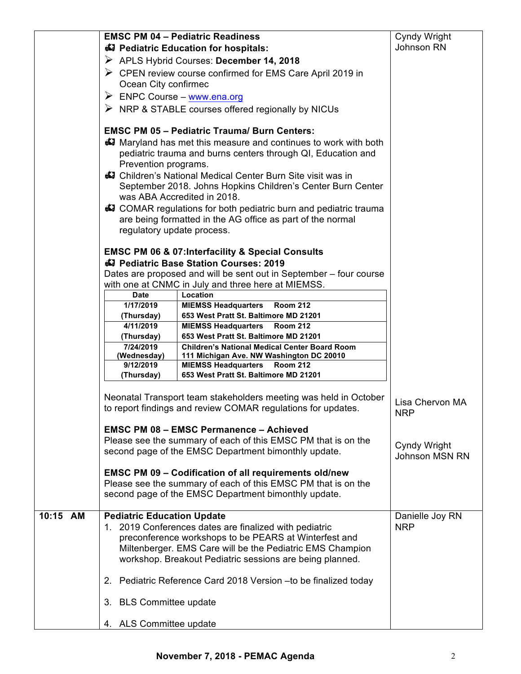|          |                                            | <b>EMSC PM 04 - Pediatric Readiness</b>                                                          | Cyndy Wright                  |
|----------|--------------------------------------------|--------------------------------------------------------------------------------------------------|-------------------------------|
|          |                                            | Dediatric Education for hospitals:                                                               | Johnson RN                    |
|          |                                            | APLS Hybrid Courses: December 14, 2018                                                           |                               |
|          |                                            | $\triangleright$ CPEN review course confirmed for EMS Care April 2019 in                         |                               |
|          | Ocean City confirmec                       |                                                                                                  |                               |
|          | $\triangleright$ ENPC Course – www.ena.org |                                                                                                  |                               |
|          |                                            | $\triangleright$ NRP & STABLE courses offered regionally by NICUs                                |                               |
|          |                                            |                                                                                                  |                               |
|          |                                            | <b>EMSC PM 05 - Pediatric Trauma/ Burn Centers:</b>                                              |                               |
|          |                                            | 47 Maryland has met this measure and continues to work with both                                 |                               |
|          |                                            | pediatric trauma and burns centers through QI, Education and                                     |                               |
|          | Prevention programs.                       |                                                                                                  |                               |
|          |                                            | 47 Children's National Medical Center Burn Site visit was in                                     |                               |
|          |                                            | September 2018. Johns Hopkins Children's Center Burn Center                                      |                               |
|          |                                            | was ABA Accredited in 2018.                                                                      |                               |
|          |                                            | COMAR regulations for both pediatric burn and pediatric trauma                                   |                               |
|          |                                            | are being formatted in the AG office as part of the normal                                       |                               |
|          | regulatory update process.                 |                                                                                                  |                               |
|          |                                            |                                                                                                  |                               |
|          |                                            | <b>EMSC PM 06 &amp; 07:Interfacility &amp; Special Consults</b>                                  |                               |
|          |                                            | Pediatric Base Station Courses: 2019                                                             |                               |
|          |                                            | Dates are proposed and will be sent out in September – four course                               |                               |
|          |                                            | with one at CNMC in July and three here at MIEMSS.                                               |                               |
|          | <b>Date</b>                                | Location                                                                                         |                               |
|          | 1/17/2019                                  | <b>MIEMSS Headquarters</b><br><b>Room 212</b>                                                    |                               |
|          | (Thursday)                                 | 653 West Pratt St. Baltimore MD 21201                                                            |                               |
|          | 4/11/2019                                  | <b>MIEMSS Headquarters</b><br><b>Room 212</b>                                                    |                               |
|          | (Thursday)                                 | 653 West Pratt St. Baltimore MD 21201                                                            |                               |
|          | 7/24/2019<br>(Wednesday)                   | <b>Children's National Medical Center Board Room</b><br>111 Michigan Ave. NW Washington DC 20010 |                               |
|          | 9/12/2019                                  | <b>MIEMSS Headquarters</b><br><b>Room 212</b>                                                    |                               |
|          | (Thursday)                                 | 653 West Pratt St. Baltimore MD 21201                                                            |                               |
|          |                                            |                                                                                                  |                               |
|          |                                            | Neonatal Transport team stakeholders meeting was held in October                                 |                               |
|          |                                            | to report findings and review COMAR regulations for updates.                                     | Lisa Chervon MA               |
|          |                                            |                                                                                                  | <b>NRP</b>                    |
|          |                                            | <b>EMSC PM 08 - EMSC Permanence - Achieved</b>                                                   |                               |
|          |                                            | Please see the summary of each of this EMSC PM that is on the                                    | Cyndy Wright                  |
|          |                                            | second page of the EMSC Department bimonthly update.                                             | <b>Johnson MSN RN</b>         |
|          |                                            |                                                                                                  |                               |
|          |                                            | <b>EMSC PM 09 - Codification of all requirements old/new</b>                                     |                               |
|          |                                            | Please see the summary of each of this EMSC PM that is on the                                    |                               |
|          |                                            | second page of the EMSC Department bimonthly update.                                             |                               |
| 10:15 AM | <b>Pediatric Education Update</b>          |                                                                                                  |                               |
|          |                                            | 1. 2019 Conferences dates are finalized with pediatric                                           | Danielle Joy RN<br><b>NRP</b> |
|          |                                            | preconference workshops to be PEARS at Winterfest and                                            |                               |
|          |                                            | Miltenberger. EMS Care will be the Pediatric EMS Champion                                        |                               |
|          |                                            | workshop. Breakout Pediatric sessions are being planned.                                         |                               |
|          |                                            |                                                                                                  |                               |
|          |                                            | 2. Pediatric Reference Card 2018 Version - to be finalized today                                 |                               |
|          |                                            |                                                                                                  |                               |
|          | 3. BLS Committee update                    |                                                                                                  |                               |
|          |                                            |                                                                                                  |                               |
|          | 4. ALS Committee update                    |                                                                                                  |                               |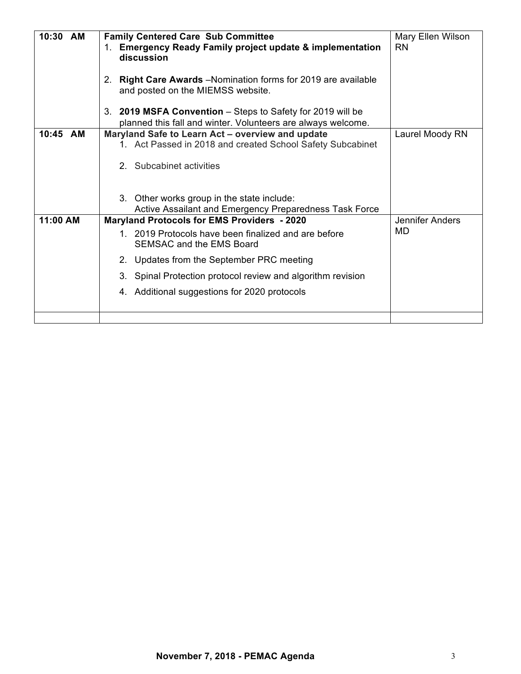| 10:30 AM | <b>Family Centered Care Sub Committee</b><br>1. Emergency Ready Family project update & implementation                     | Mary Ellen Wilson<br><b>RN</b> |
|----------|----------------------------------------------------------------------------------------------------------------------------|--------------------------------|
|          | discussion                                                                                                                 |                                |
|          | 2. Right Care Awards - Nomination forms for 2019 are available<br>and posted on the MIEMSS website.                        |                                |
|          | 3. 2019 MSFA Convention - Steps to Safety for 2019 will be<br>planned this fall and winter. Volunteers are always welcome. |                                |
| 10:45 AM | Maryland Safe to Learn Act - overview and update                                                                           | Laurel Moody RN                |
|          | 1. Act Passed in 2018 and created School Safety Subcabinet                                                                 |                                |
|          |                                                                                                                            |                                |
|          | 2. Subcabinet activities                                                                                                   |                                |
|          |                                                                                                                            |                                |
|          |                                                                                                                            |                                |
|          | 3. Other works group in the state include:<br>Active Assailant and Emergency Preparedness Task Force                       |                                |
| 11:00 AM | <b>Maryland Protocols for EMS Providers - 2020</b>                                                                         | Jennifer Anders                |
|          | 1. 2019 Protocols have been finalized and are before                                                                       | MD                             |
|          | SEMSAC and the EMS Board                                                                                                   |                                |
|          |                                                                                                                            |                                |
|          | Updates from the September PRC meeting<br>2 <sub>1</sub>                                                                   |                                |
|          | 3. Spinal Protection protocol review and algorithm revision                                                                |                                |
|          | 4. Additional suggestions for 2020 protocols                                                                               |                                |
|          |                                                                                                                            |                                |
|          |                                                                                                                            |                                |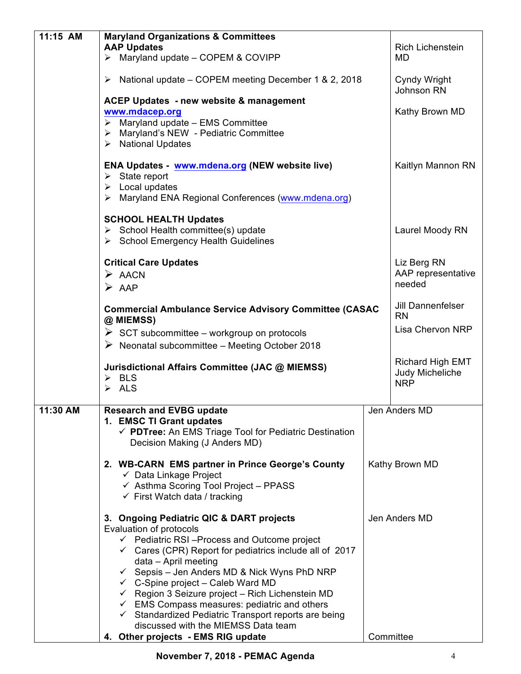| 11:15 AM | <b>Maryland Organizations &amp; Committees</b><br><b>AAP Updates</b>                                                                                                                                                                                                                                                                                                                                                                                                                                                                                          | Rich Lichenstein                            |  |
|----------|---------------------------------------------------------------------------------------------------------------------------------------------------------------------------------------------------------------------------------------------------------------------------------------------------------------------------------------------------------------------------------------------------------------------------------------------------------------------------------------------------------------------------------------------------------------|---------------------------------------------|--|
|          | $\triangleright$ Maryland update - COPEM & COVIPP                                                                                                                                                                                                                                                                                                                                                                                                                                                                                                             | MD                                          |  |
|          | $\triangleright$ National update – COPEM meeting December 1 & 2, 2018                                                                                                                                                                                                                                                                                                                                                                                                                                                                                         | Cyndy Wright<br>Johnson RN                  |  |
|          | ACEP Updates - new website & management<br>www.mdacep.org<br>$\triangleright$ Maryland update - EMS Committee<br>> Maryland's NEW - Pediatric Committee<br>$\triangleright$ National Updates                                                                                                                                                                                                                                                                                                                                                                  | Kathy Brown MD                              |  |
|          | ENA Updates - www.mdena.org (NEW website live)<br>$\triangleright$ State report<br>$\triangleright$ Local updates<br>> Maryland ENA Regional Conferences (www.mdena.org)                                                                                                                                                                                                                                                                                                                                                                                      | Kaitlyn Mannon RN                           |  |
|          | <b>SCHOOL HEALTH Updates</b><br>$\triangleright$ School Health committee(s) update<br>> School Emergency Health Guidelines                                                                                                                                                                                                                                                                                                                                                                                                                                    | Laurel Moody RN                             |  |
|          | <b>Critical Care Updates</b><br>$\triangleright$ AACN<br>$\triangleright$ AAP                                                                                                                                                                                                                                                                                                                                                                                                                                                                                 | Liz Berg RN<br>AAP representative<br>needed |  |
|          | <b>Commercial Ambulance Service Advisory Committee (CASAC</b><br>@ MIEMSS)                                                                                                                                                                                                                                                                                                                                                                                                                                                                                    | Jill Dannenfelser<br><b>RN</b>              |  |
|          | $\triangleright$ SCT subcommittee – workgroup on protocols<br>$\triangleright$ Neonatal subcommittee – Meeting October 2018                                                                                                                                                                                                                                                                                                                                                                                                                                   | Lisa Chervon NRP                            |  |
|          | Jurisdictional Affairs Committee (JAC @ MIEMSS)                                                                                                                                                                                                                                                                                                                                                                                                                                                                                                               | Richard High EMT<br>Judy Micheliche         |  |
|          | $\triangleright$ BLS<br>$\triangleright$ ALS                                                                                                                                                                                                                                                                                                                                                                                                                                                                                                                  | <b>NRP</b>                                  |  |
| 11:30 AM | <b>Research and EVBG update</b><br>1. EMSC TI Grant updates<br>√ PDTree: An EMS Triage Tool for Pediatric Destination<br>Decision Making (J Anders MD)                                                                                                                                                                                                                                                                                                                                                                                                        | Jen Anders MD                               |  |
|          | 2. WB-CARN EMS partner in Prince George's County<br>$\checkmark$ Data Linkage Project<br>$\checkmark$ Asthma Scoring Tool Project - PPASS<br>$\checkmark$ First Watch data / tracking                                                                                                                                                                                                                                                                                                                                                                         | Kathy Brown MD                              |  |
|          | 3. Ongoing Pediatric QIC & DART projects<br>Evaluation of protocols<br>$\checkmark$ Pediatric RSI-Process and Outcome project<br>$\checkmark$ Cares (CPR) Report for pediatrics include all of 2017<br>data - April meeting<br>$\checkmark$ Sepsis – Jen Anders MD & Nick Wyns PhD NRP<br>$\checkmark$ C-Spine project – Caleb Ward MD<br>Region 3 Seizure project - Rich Lichenstein MD<br>$\checkmark$ EMS Compass measures: pediatric and others<br>$\checkmark$ Standardized Pediatric Transport reports are being<br>discussed with the MIEMSS Data team | Jen Anders MD                               |  |
|          | 4. Other projects - EMS RIG update                                                                                                                                                                                                                                                                                                                                                                                                                                                                                                                            | Committee                                   |  |